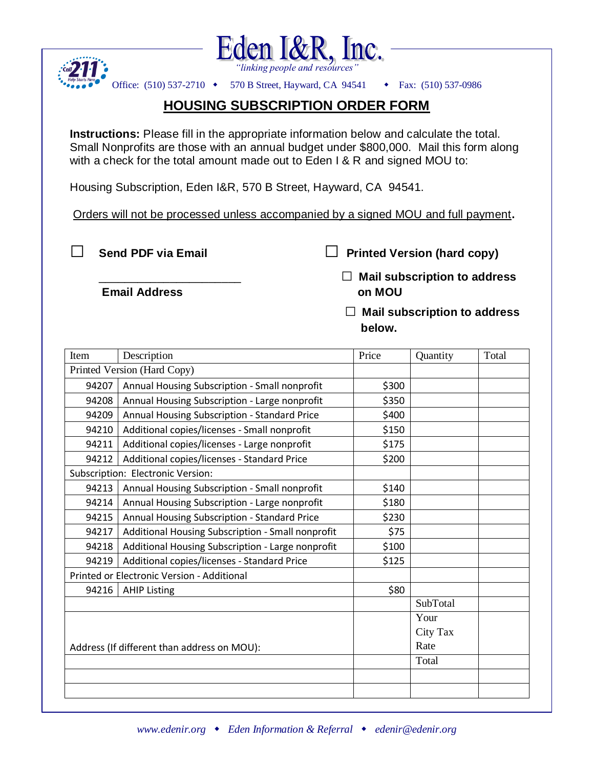



Office: (510) 537-2710 • 570 B Street, Hayward, CA 94541 • Fax: (510) 537-0986

## **HOUSING SUBSCRIPTION ORDER FORM**

**Instructions:** Please fill in the appropriate information below and calculate the total. Small Nonprofits are those with an annual budget under \$800,000. Mail this form along with a check for the total amount made out to Eden I & R and signed MOU to:

Housing Subscription, Eden I&R, 570 B Street, Hayward, CA 94541.

Orders will not be processed unless accompanied by a signed MOU and full payment**.**

**□ Send PDF via Email □ Printed Version (hard copy)**

 **Email Address on MOU**

\_\_\_\_\_\_\_\_\_\_\_\_\_\_\_\_\_\_\_\_\_\_ **□ Mail subscription to address** 

 **□ Mail subscription to address below.** The contract of the contract of the below.

| Item                                        | Description                                       | Price | Quantity | Total |
|---------------------------------------------|---------------------------------------------------|-------|----------|-------|
| Printed Version (Hard Copy)                 |                                                   |       |          |       |
| 94207                                       | Annual Housing Subscription - Small nonprofit     | \$300 |          |       |
| 94208                                       | Annual Housing Subscription - Large nonprofit     | \$350 |          |       |
| 94209                                       | Annual Housing Subscription - Standard Price      | \$400 |          |       |
| 94210                                       | Additional copies/licenses - Small nonprofit      | \$150 |          |       |
| 94211                                       | Additional copies/licenses - Large nonprofit      | \$175 |          |       |
| 94212                                       | Additional copies/licenses - Standard Price       | \$200 |          |       |
| Subscription: Electronic Version:           |                                                   |       |          |       |
| 94213                                       | Annual Housing Subscription - Small nonprofit     | \$140 |          |       |
| 94214                                       | Annual Housing Subscription - Large nonprofit     | \$180 |          |       |
| 94215                                       | Annual Housing Subscription - Standard Price      | \$230 |          |       |
| 94217                                       | Additional Housing Subscription - Small nonprofit | \$75  |          |       |
| 94218                                       | Additional Housing Subscription - Large nonprofit | \$100 |          |       |
| 94219                                       | Additional copies/licenses - Standard Price       | \$125 |          |       |
| Printed or Electronic Version - Additional  |                                                   |       |          |       |
| 94216                                       | <b>AHIP Listing</b>                               | \$80  |          |       |
|                                             |                                                   |       | SubTotal |       |
|                                             |                                                   |       | Your     |       |
|                                             |                                                   |       | City Tax |       |
| Address (If different than address on MOU): |                                                   |       | Rate     |       |
|                                             |                                                   |       | Total    |       |
|                                             |                                                   |       |          |       |
|                                             |                                                   |       |          |       |